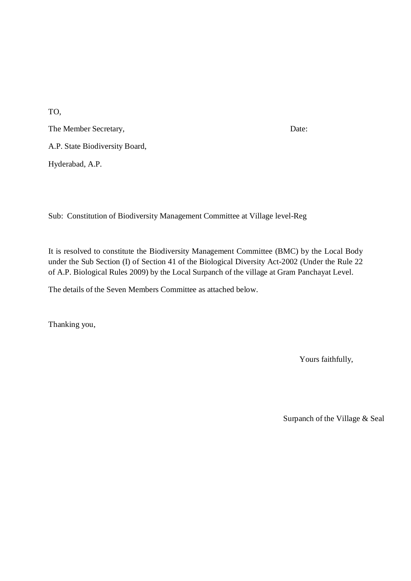TO,

The Member Secretary, Date: A.P. State Biodiversity Board,

Hyderabad, A.P.

Sub: Constitution of Biodiversity Management Committee at Village level-Reg

It is resolved to constitute the Biodiversity Management Committee (BMC) by the Local Body under the Sub Section (I) of Section 41 of the Biological Diversity Act-2002 (Under the Rule 22 of A.P. Biological Rules 2009) by the Local Surpanch of the village at Gram Panchayat Level.

The details of the Seven Members Committee as attached below.

Thanking you,

Yours faithfully,

Surpanch of the Village & Seal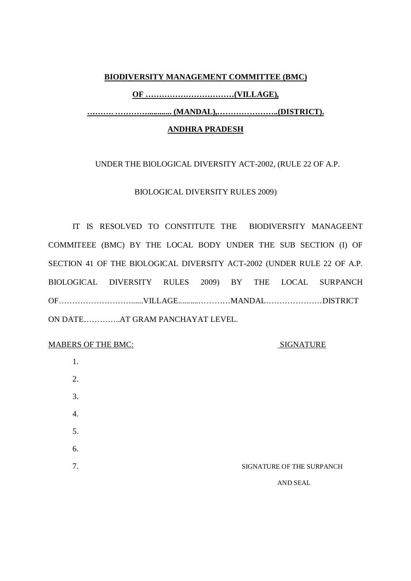#### **BIODIVERSITY MANAGEMENT COMMITTEE (BMC)**

**OF ……………………………(VILLAGE),**

**………. …………............ (MANDAL),…………………..(DISTRICT).**

#### **ANDHRA PRADESH**

### UNDER THE BIOLOGICAL DIVERSITY ACT-2002, (RULE 22 OF A.P.

BIOLOGICAL DIVERSITY RULES 2009)

IT IS RESOLVED TO CONSTITUTE THE BIODIVERSITY MANAGEENT COMMITEEE (BMC) BY THE LOCAL BODY UNDER THE SUB SECTION (I) OF SECTION 41 OF THE BIOLOGICAL DIVERSITY ACT-2002 (UNDER RULE 22 OF A.P. BIOLOGICAL DIVERSITY RULES 2009) BY THE LOCAL SURPANCH OF………………………......VILLAGE..........…………MANDAL…………………DISTRICT ON DATE…………..AT GRAM PANCHAYAT LEVEL.

MABERS OF THE BMC: SIGNATURE

| 1. |                           |
|----|---------------------------|
| 2. |                           |
| 3. |                           |
| 4. |                           |
| 5. |                           |
| 6. |                           |
| 7. | SIGNATURE OF THE SURPANCH |
|    | AND SEAL                  |